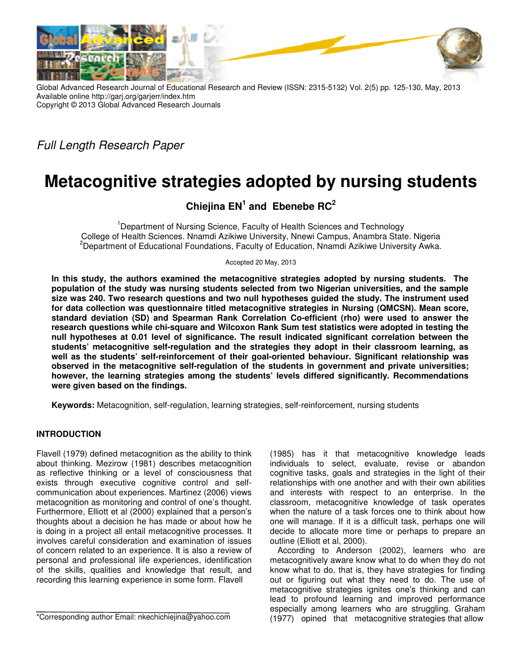

Global Advanced Research Journal of Educational Research and Review (ISSN: 2315-5132) Vol. 2(5) pp. 125-130, May, 2013 Available online http://garj.org/garjerr/index.htm Copyright © 2013 Global Advanced Research Journals

Full Length Research Paper

# **Metacognitive strategies adopted by nursing students**

# **Chiejina EN<sup>1</sup> and Ebenebe RC<sup>2</sup>**

<sup>1</sup>Department of Nursing Science, Faculty of Health Sciences and Technology College of Health Sciences. Nnamdi Azikiwe University, Nnewi Campus, Anambra State. Nigeria <sup>2</sup>Department of Educational Foundations, Faculty of Education, Nnamdi Azikiwe University Awka.

Accepted 20 May, 2013

**In this study, the authors examined the metacognitive strategies adopted by nursing students. The population of the study was nursing students selected from two Nigerian universities, and the sample size was 240. Two research questions and two null hypotheses guided the study. The instrument used for data collection was questionnaire titled metacognitive strategies in Nursing (QMCSN). Mean score, standard deviation (SD) and Spearman Rank Correlation Co-efficient (rho) were used to answer the research questions while chi-square and Wilcoxon Rank Sum test statistics were adopted in testing the null hypotheses at 0.01 level of significance. The result indicated significant correlation between the students' metacognitive self-regulation and the strategies they adopt in their classroom learning, as well as the students' self-reinforcement of their goal-oriented behaviour. Significant relationship was observed in the metacognitive self-regulation of the students in government and private universities; however, the learning strategies among the students' levels differed significantly. Recommendations were given based on the findings.** 

**Keywords:** Metacognition, self-regulation, learning strategies, self-reinforcement, nursing students

## **INTRODUCTION**

Flavell (1979) defined metacognition as the ability to think about thinking. Mezirow (1981) describes metacognition as reflective thinking or a level of consciousness that exists through executive cognitive control and selfcommunication about experiences. Martinez (2006) views metacognition as monitoring and control of one's thought. Furthermore, Elliott et al (2000) explained that a person's thoughts about a decision he has made or about how he is doing in a project all entail metacognitive processes. It involves careful consideration and examination of issues of concern related to an experience. It is also a review of personal and professional life experiences, identification of the skills, qualities and knowledge that result, and recording this learning experience in some form. Flavell

(1985) has it that metacognitive knowledge leads individuals to select, evaluate, revise or abandon cognitive tasks, goals and strategies in the light of their relationships with one another and with their own abilities and interests with respect to an enterprise. In the classroom, metacognitive knowledge of task operates when the nature of a task forces one to think about how one will manage. If it is a difficult task, perhaps one will decide to allocate more time or perhaps to prepare an outline (Elliott et al, 2000).

According to Anderson (2002), learners who are metacognitively aware know what to do when they do not know what to do, that is, they have strategies for finding out or figuring out what they need to do. The use of metacognitive strategies ignites one's thinking and can lead to profound learning and improved performance especially among learners who are struggling. Graham (1977) opined that metacognitive strategies that allow

<sup>\*</sup>Corresponding author Email: nkechichiejina@yahoo.com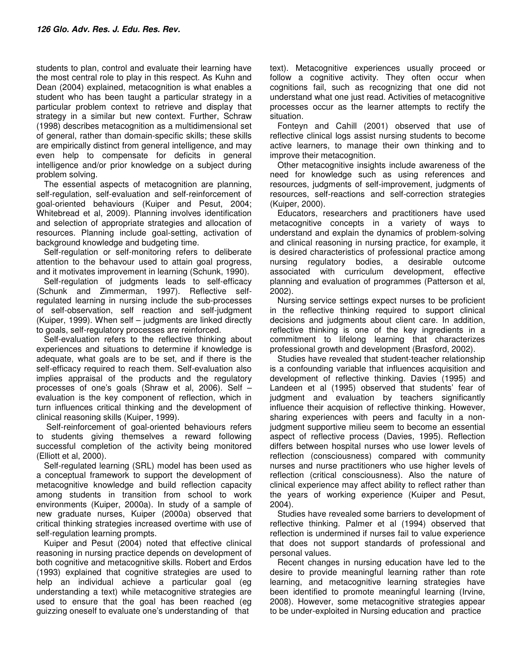students to plan, control and evaluate their learning have the most central role to play in this respect. As Kuhn and Dean (2004) explained, metacognition is what enables a student who has been taught a particular strategy in a particular problem context to retrieve and display that strategy in a similar but new context. Further, Schraw (1998) describes metacognition as a multidimensional set of general, rather than domain-specific skills; these skills are empirically distinct from general intelligence, and may even help to compensate for deficits in general intelligence and/or prior knowledge on a subject during problem solving.

The essential aspects of metacognition are planning, self-regulation, self-evaluation and self-reinforcement of goal-oriented behaviours (Kuiper and Pesut, 2004; Whitebread et al, 2009). Planning involves identification and selection of appropriate strategies and allocation of resources. Planning include goal-setting, activation of background knowledge and budgeting time.

Self-regulation or self-monitoring refers to deliberate attention to the behavour used to attain goal progress, and it motivates improvement in learning (Schunk, 1990).

Self-regulation of judgments leads to self-efficacy (Schunk and Zimmerman, 1997). Reflective selfregulated learning in nursing include the sub-processes of self-observation, self reaction and self-judgment (Kuiper, 1999). When self – judgments are linked directly to goals, self-regulatory processes are reinforced.

Self-evaluation refers to the reflective thinking about experiences and situations to determine if knowledge is adequate, what goals are to be set, and if there is the self-efficacy required to reach them. Self-evaluation also implies appraisal of the products and the regulatory processes of one's goals (Shraw et al, 2006). Self – evaluation is the key component of reflection, which in turn influences critical thinking and the development of clinical reasoning skills (Kuiper, 1999).

 Self-reinforcement of goal-oriented behaviours refers to students giving themselves a reward following successful completion of the activity being monitored (Elliott et al, 2000).

Self-regulated learning (SRL) model has been used as a conceptual framework to support the development of metacognitive knowledge and build reflection capacity among students in transition from school to work environments (Kuiper, 2000a). In study of a sample of new graduate nurses, Kuiper (2000a) observed that critical thinking strategies increased overtime with use of self-regulation learning prompts.

Kuiper and Pesut (2004) noted that effective clinical reasoning in nursing practice depends on development of both cognitive and metacognitive skills. Robert and Erdos (1993) explained that cognitive strategies are used to help an individual achieve a particular goal (eg understanding a text) while metacognitive strategies are used to ensure that the goal has been reached (eg guizzing oneself to evaluate one's understanding of that

text). Metacognitive experiences usually proceed or follow a cognitive activity. They often occur when cognitions fail, such as recognizing that one did not understand what one just read. Activities of metacognitive processes occur as the learner attempts to rectify the situation.

Fonteyn and Cahill (2001) observed that use of reflective clinical logs assist nursing students to become active learners, to manage their own thinking and to improve their metacognition.

Other metacognitive insights include awareness of the need for knowledge such as using references and resources, judgments of self-improvement, judgments of resources, self-reactions and self-correction strategies (Kuiper, 2000).

Educators, researchers and practitioners have used metacognitive concepts in a variety of ways to understand and explain the dynamics of problem-solving and clinical reasoning in nursing practice, for example, it is desired characteristics of professional practice among nursing regulatory bodies, a desirable outcome associated with curriculum development, effective planning and evaluation of programmes (Patterson et al, 2002).

Nursing service settings expect nurses to be proficient in the reflective thinking required to support clinical decisions and judgments about client care. In addition, reflective thinking is one of the key ingredients in a commitment to lifelong learning that characterizes professional growth and development (Brasford, 2002).

Studies have revealed that student-teacher relationship is a confounding variable that influences acquisition and development of reflective thinking. Davies (1995) and Landeen et al (1995) observed that students' fear of judgment and evaluation by teachers significantly influence their acquision of reflective thinking. However, sharing experiences with peers and faculty in a nonjudgment supportive milieu seem to become an essential aspect of reflective process (Davies, 1995). Reflection differs between hospital nurses who use lower levels of reflection (consciousness) compared with community nurses and nurse practitioners who use higher levels of reflection (critical consciousness). Also the nature of clinical experience may affect ability to reflect rather than the years of working experience (Kuiper and Pesut, 2004).

Studies have revealed some barriers to development of reflective thinking. Palmer et al (1994) observed that reflection is undermined if nurses fail to value experience that does not support standards of professional and personal values.

Recent changes in nursing education have led to the desire to provide meaningful learning rather than rote learning, and metacognitive learning strategies have been identified to promote meaningful learning (Irvine, 2008). However, some metacognitive strategies appear to be under-exploited in Nursing education and practice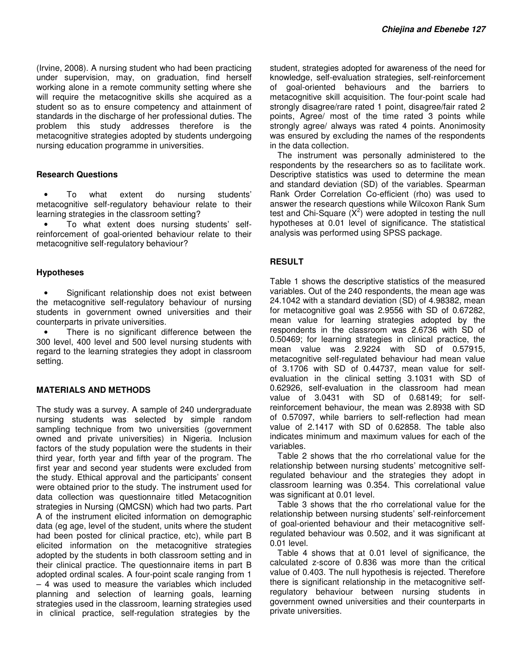(Irvine, 2008). A nursing student who had been practicing under supervision, may, on graduation, find herself working alone in a remote community setting where she will require the metacognitive skills she acquired as a student so as to ensure competency and attainment of standards in the discharge of her professional duties. The problem this study addresses therefore is the metacognitive strategies adopted by students undergoing nursing education programme in universities.

#### **Research Questions**

• To what extent do nursing students' metacognitive self-regulatory behaviour relate to their learning strategies in the classroom setting?

• To what extent does nursing students' selfreinforcement of goal-oriented behaviour relate to their metacognitive self-regulatory behaviour?

#### **Hypotheses**

Significant relationship does not exist between the metacognitive self-regulatory behaviour of nursing students in government owned universities and their counterparts in private universities.

There is no significant difference between the 300 level, 400 level and 500 level nursing students with regard to the learning strategies they adopt in classroom setting.

## **MATERIALS AND METHODS**

The study was a survey. A sample of 240 undergraduate nursing students was selected by simple random sampling technique from two universities (government owned and private universities) in Nigeria. Inclusion factors of the study population were the students in their third year, forth year and fifth year of the program. The first year and second year students were excluded from the study. Ethical approval and the participants' consent were obtained prior to the study. The instrument used for data collection was questionnaire titled Metacognition strategies in Nursing (QMCSN) which had two parts. Part A of the instrument elicited information on demographic data (eg age, level of the student, units where the student had been posted for clinical practice, etc), while part B elicited information on the metacognitive strategies adopted by the students in both classroom setting and in their clinical practice. The questionnaire items in part B adopted ordinal scales. A four-point scale ranging from 1 – 4 was used to measure the variables which included planning and selection of learning goals, learning strategies used in the classroom, learning strategies used in clinical practice, self-regulation strategies by the

student, strategies adopted for awareness of the need for knowledge, self-evaluation strategies, self-reinforcement of goal-oriented behaviours and the barriers to metacognitive skill acquisition. The four-point scale had strongly disagree/rare rated 1 point, disagree/fair rated 2 points, Agree/ most of the time rated 3 points while strongly agree/ always was rated 4 points. Anonimosity was ensured by excluding the names of the respondents in the data collection.

The instrument was personally administered to the respondents by the researchers so as to facilitate work. Descriptive statistics was used to determine the mean and standard deviation (SD) of the variables. Spearman Rank Order Correlation Co-efficient (rho) was used to answer the research questions while Wilcoxon Rank Sum test and Chi-Square  $(X^2)$  were adopted in testing the null hypotheses at 0.01 level of significance. The statistical analysis was performed using SPSS package.

## **RESULT**

Table 1 shows the descriptive statistics of the measured variables. Out of the 240 respondents, the mean age was 24.1042 with a standard deviation (SD) of 4.98382, mean for metacognitive goal was 2.9556 with SD of 0.67282, mean value for learning strategies adopted by the respondents in the classroom was 2.6736 with SD of 0.50469; for learning strategies in clinical practice, the mean value was 2.9224 with SD of 0.57915, metacognitive self-regulated behaviour had mean value of 3.1706 with SD of 0.44737, mean value for selfevaluation in the clinical setting 3.1031 with SD of 0.62926, self-evaluation in the classroom had mean value of 3.0431 with SD of 0.68149; for selfreinforcement behaviour, the mean was 2.8938 with SD of 0.57097, while barriers to self-reflection had mean value of 2.1417 with SD of 0.62858. The table also indicates minimum and maximum values for each of the variables.

Table 2 shows that the rho correlational value for the relationship between nursing students' metcognitive selfregulated behaviour and the strategies they adopt in classroom learning was 0.354. This correlational value was significant at 0.01 level.

Table 3 shows that the rho correlational value for the relationship between nursing students' self-reinforcement of goal-oriented behaviour and their metacognitive selfregulated behaviour was 0.502, and it was significant at 0.01 level.

Table 4 shows that at 0.01 level of significance, the calculated z-score of 0.836 was more than the critical value of 0.403. The null hypothesis is rejected. Therefore there is significant relationship in the metacognitive selfregulatory behaviour between nursing students in government owned universities and their counterparts in private universities.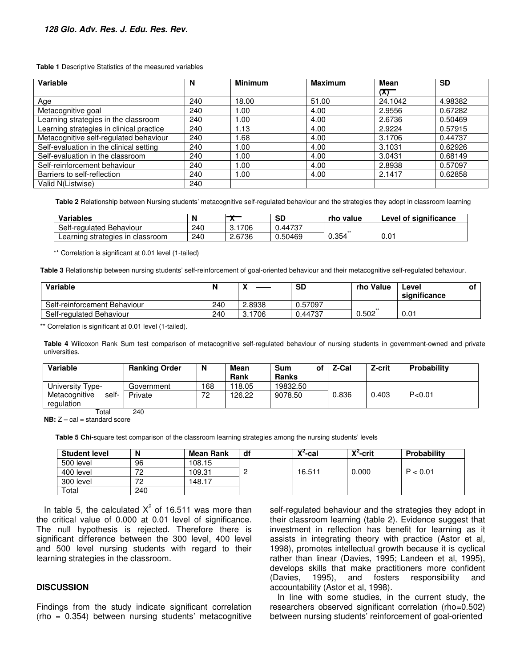**Table 1** Descriptive Statistics of the measured variables

| <b>Variable</b>                          | N   | <b>Minimum</b> | <b>Maximum</b> | Mean    | <b>SD</b> |
|------------------------------------------|-----|----------------|----------------|---------|-----------|
|                                          |     |                |                | (X)     |           |
| Age                                      | 240 | 18.00          | 51.00          | 24.1042 | 4.98382   |
| Metacognitive goal                       | 240 | .00            | 4.00           | 2.9556  | 0.67282   |
| Learning strategies in the classroom     | 240 | .00.           | 4.00           | 2.6736  | 0.50469   |
| Learning strategies in clinical practice | 240 | .13            | 4.00           | 2.9224  | 0.57915   |
| Metacognitive self-regulated behaviour   | 240 | .68            | 4.00           | 3.1706  | 0.44737   |
| Self-evaluation in the clinical setting  | 240 | .00.           | 4.00           | 3.1031  | 0.62926   |
| Self-evaluation in the classroom         | 240 | .00            | 4.00           | 3.0431  | 0.68149   |
| Self-reinforcement behaviour             | 240 | .00.           | 4.00           | 2.8938  | 0.57097   |
| Barriers to self-reflection              | 240 | .00            | 4.00           | 2.1417  | 0.62858   |
| Valid N(Listwise)                        | 240 |                |                |         |           |

**Table 2** Relationship between Nursing students' metacognitive self-regulated behaviour and the strategies they adopt in classroom learning

| <b>Variables</b>                       |     |        | <b>SD</b> | rho value | Level of significance |
|----------------------------------------|-----|--------|-----------|-----------|-----------------------|
| Self-regulated Behaviour               | 240 | 706    | 0.44737   | $+ +$     |                       |
| strategies in<br>Learnıng<br>classroom | 240 | 2.6736 | 0.50469   | 0.354     | 0.01                  |

\*\* Correlation is significant at 0.01 level (1-tailed)

**Table 3** Relationship between nursing students' self-reinforcement of goal-oriented behaviour and their metacognitive self-regulated behaviour.

| Variable                     | N   | $\mathbf{v}$<br>↗ | <b>SD</b> | rho Value | Level<br>Οt<br>significance |
|------------------------------|-----|-------------------|-----------|-----------|-----------------------------|
| Self-reinforcement Behaviour | 240 | 2.8938            | 0.57097   |           |                             |
| Self-regulated Behaviour     | 240 | 1706<br>Ω.<br>J.  | 0.44737   | 0.502     | 0.01                        |

\*\* Correlation is significant at 0.01 level (1-tailed).

**Table 4** Wilcoxon Rank Sum test comparison of metacognitive self-regulated behaviour of nursing students in government-owned and private universities.

| Variable                             | <b>Ranking Order</b> | N   | Mean<br>Rank | <b>Sum</b><br>οf<br><b>Ranks</b> | Z-Cal | Z-crit | <b>Probability</b> |
|--------------------------------------|----------------------|-----|--------------|----------------------------------|-------|--------|--------------------|
| University Type-                     | Government           | 168 | 118.05       | 19832.50                         |       |        |                    |
| self-<br>Metacognitive<br>regulation | Private              | 72  | 126.22       | 9078.50                          | 0.836 | 0.403  | P < 0.01           |
| Total                                | 240                  |     |              |                                  |       |        |                    |

**NB:**  $Z - cal = standard score$ 

**Table 5 Chi-**square test comparison of the classroom learning strategies among the nursing students' levels

| <b>Student level</b> | N   | <b>Mean Rank</b> | df | $V^2$ -cal | $X^2$ -crit | Probability |
|----------------------|-----|------------------|----|------------|-------------|-------------|
| 500 level            | 96  | 108.15           |    |            |             |             |
| 400 level            | 70  | 109.31           |    | 16.511     | 0.000       | P < 0.01    |
| 300 level            | 70  | 148.17           |    |            |             |             |
| Total                | 240 |                  |    |            |             |             |

In table 5, the calculated  $X^2$  of 16.511 was more than the critical value of 0.000 at 0.01 level of significance. The null hypothesis is rejected. Therefore there is significant difference between the 300 level, 400 level and 500 level nursing students with regard to their learning strategies in the classroom.

#### **DISCUSSION**

Findings from the study indicate significant correlation (rho = 0.354) between nursing students' metacognitive self-regulated behaviour and the strategies they adopt in their classroom learning (table 2). Evidence suggest that investment in reflection has benefit for learning as it assists in integrating theory with practice (Astor et al, 1998), promotes intellectual growth because it is cyclical rather than linear (Davies, 1995; Landeen et al, 1995), develops skills that make practitioners more confident (Davies, 1995), and fosters responsibility and accountability (Astor et al, 1998).

In line with some studies, in the current study, the researchers observed significant correlation (rho=0.502) between nursing students' reinforcement of goal-oriented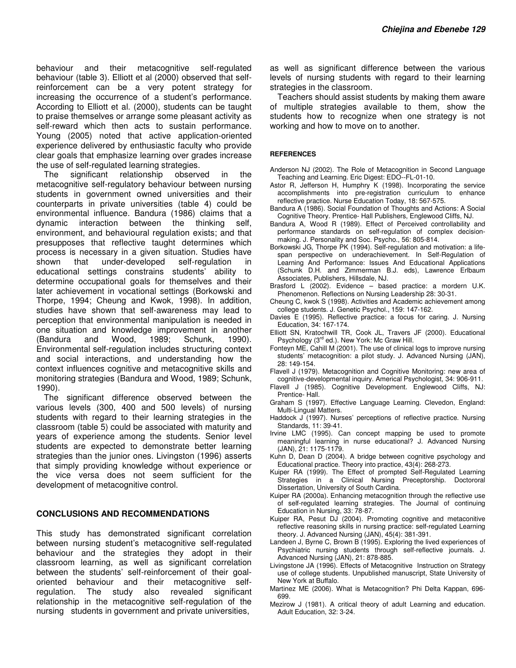behaviour and their metacognitive self-regulated behaviour (table 3). Elliott et al (2000) observed that selfreinforcement can be a very potent strategy for increasing the occurrence of a student's performance. According to Elliott et al. (2000), students can be taught to praise themselves or arrange some pleasant activity as self-reward which then acts to sustain performance. Young (2005) noted that active application-oriented experience delivered by enthusiastic faculty who provide clear goals that emphasize learning over grades increase the use of self-regulated learning strategies.

The significant relationship observed in the metacognitive self-regulatory behaviour between nursing students in government owned universities and their counterparts in private universities (table 4) could be environmental influence. Bandura (1986) claims that a dynamic interaction between the thinking self, environment, and behavioural regulation exists; and that presupposes that reflective taught determines which process is necessary in a given situation. Studies have shown that under-developed self-regulation in educational settings constrains students' ability to determine occupational goals for themselves and their later achievement in vocational settings (Borkowski and Thorpe, 1994; Cheung and Kwok, 1998). In addition, studies have shown that self-awareness may lead to perception that environmental manipulation is needed in one situation and knowledge improvement in another (Bandura and Wood, 1989; Schunk, 1990). Environmental self-regulation includes structuring context and social interactions, and understanding how the context influences cognitive and metacognitive skills and monitoring strategies (Bandura and Wood, 1989; Schunk, 1990).

The significant difference observed between the various levels (300, 400 and 500 levels) of nursing students with regard to their learning strategies in the classroom (table 5) could be associated with maturity and years of experience among the students. Senior level students are expected to demonstrate better learning strategies than the junior ones. Livingston (1996) asserts that simply providing knowledge without experience or the vice versa does not seem sufficient for the development of metacognitive control.

#### **CONCLUSIONS AND RECOMMENDATIONS**

This study has demonstrated significant correlation between nursing student's metacognitive self-regulated behaviour and the strategies they adopt in their classroom learning, as well as significant correlation between the students' self-reinforcement of their goaloriented behaviour and their metacognitive selfregulation. The study also revealed significant relationship in the metacognitive self-regulation of the nursing students in government and private universities,

as well as significant difference between the various levels of nursing students with regard to their learning strategies in the classroom.

Teachers should assist students by making them aware of multiple strategies available to them, show the students how to recognize when one strategy is not working and how to move on to another.

#### **REFERENCES**

- Anderson NJ (2002). The Role of Metacognition in Second Language Teaching and Learning. Eric Digest: EDO--FL-01-10.
- Astor R, Jefferson H, Humphry K (1998). Incorporating the service accomplishments into pre-registration curriculum to enhance reflective practice. Nurse Education Today, 18: 567-575.
- Bandura A (1986). Social Foundation of Thoughts and Actions: A Social Cognitive Theory. Prentice- Hall Publishers, Englewood Cliffs, NJ.
- Bandura A, Wood R (1989). Effect of Perceived controllability and performance standards on self-regulation of complex decisionmaking. J. Personality and Soc. Psycho., 56: 805-814.
- Borkowski JG, Thorpe PK (1994). Self-regulation and motivation: a lifespan perspective on underachievement. In Self-Regulation of Learning And Performance: Issues And Educational Applications (Schunk D.H. and Zimmerman B.J. eds), Lawrence Erlbaum Associates, Publishers, Hillsdale, NJ.
- Brasford L (2002). Evidence based practice: a mordern U.K. Phenomenon. Reflections on Nursing Leadership 28: 30-31.
- Cheung C, kwok S (1998). Activities and Academic achievement among college students. J. Genetic Psychol., 159: 147-162.
- Davies E (1995). Reflective practice: a focus for caring. J. Nursing Education, 34: 167-174.
- Elliott SN, Kratochwill TR, Cook JL, Travers JF (2000). Educational Psychology (3<sup>rd</sup> ed.). New York: Mc Graw Hill.
- Fonteyn ME, Cahill M (2001). The use of clinical logs to improve nursing students' metacognition: a pilot study. J. Advanced Nursing (JAN), 28: 149-154.
- Flavell J (1979). Metacognition and Cognitive Monitoring: new area of cognitive-developmental inquiry. Americal Psychologist, 34: 906-911.
- Flavell J (1985). Cognitive Development. Englewood Cliffs, NJ: Prentice- Hall.
- Graham S (1997). Effective Language Learning. Clevedon, England: Multi-Lingual Matters.
- Haddock J (1997). Nurses' perceptions of reflective practice. Nursing Standards, 11: 39-41.
- Irvine LMC (1995). Can concept mapping be used to promote meaningful learning in nurse educational? J. Advanced Nursing (JAN), 21: 1175-1179.
- Kuhn D, Dean D (2004). A bridge between cognitive psychology and Educational practice. Theory into practice, 43(4): 268-273.
- Kuiper RA (1999). The Effect of prompted Self-Regulated Learning Strategies in a Clinical Nursing Preceptorship. Doctororal Dissertation, University of South Cardina.
- Kuiper RA (2000a). Enhancing metacognition through the reflective use of self-regulated learning strategies. The Journal of continuing Education in Nursing, 33: 78-87.
- Kuiper RA, Pesut DJ (2004). Promoting cognitive and metaconitive reflective reasoning skills in nursing practice: self-regulated Learning theory. J. Advanced Nursing (JAN), 45(4): 381-391.
- Landeen J, Byrne C, Brown B (1995). Exploring the lived experiences of Psychiatric nursing students through self-reflective journals. J. Advanced Nursing (JAN), 21: 878-885.
- Livingstone JA (1996). Effects of Metacognitive Instruction on Strategy use of college students. Unpublished manuscript, State University of New York at Buffalo.
- Martinez ME (2006). What is Metacognition? Phi Delta Kappan, 696- 699.
- Mezirow J (1981). A critical theory of adult Learning and education. Adult Education, 32: 3-24.